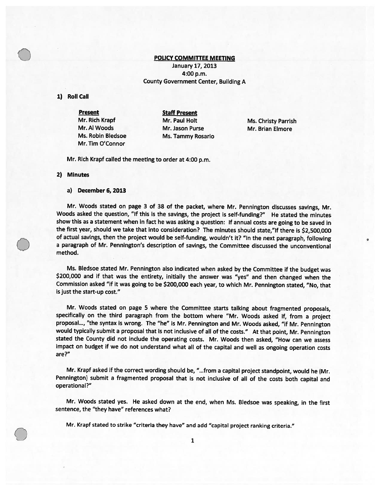## POLICY COMMITTEE MEETING

January 17, 2013 4:00 p.m. County Government Center, Building A

### 1) RoIl Call

Present Staff Present Mr. Tim O'Connor

Mr. Rich Krapf Mr. Paul Holt Ms. Christy Parrish Mr. Al Woods Mr. Jason Purse Mr. Brian Elmore Ms. Robin Bledsoe Ms. Tammy Rosario

Mr. Rich Krapf called the meeting to order at 4:00 p.m.

#### 2) Minutes

O

#### a) December 6, 2013

Mr. Woods stated on page <sup>3</sup> of <sup>38</sup> of the packet, where Mr. Pennington discusses savings, Mr. Woods asked the question, "If this is the savings, the project is self-funding?" He stated the minutes show this as <sup>a</sup> statement when in fact he was asking <sup>a</sup> question: If annual costs are going to be saved in the first year, should we take that into consideration? The minutes should state,"lf there is \$2,500,000 of actual savings, then the project would be self-funding, wouldn't it? "In the next paragraph, following <sup>a</sup> paragraph of Mr. Pennington's description of savings, the Committee discussed the unconventional method.

Ms. Bledsoe stated Mr. Pennington also indicated when asked by the Committee if the budget was \$200,000 and if that was the entirety, initially the answer was "yes" and then changed when the Commission asked "if it was going to be \$200,000 each year, to which Mr. Pennington stated, "No, that is just the start-up cost."

Mr. Woods stated on page <sup>5</sup> where the Committee starts talking about fragmented proposals, specifically on the third paragraph from the bottom where "Mr. Woods asked if, from <sup>a</sup> project proposal..., "the syntax is wrong. The "he" is Mr. Pennington and Mr. Woods asked, "if Mr. Pennington would typically submit <sup>a</sup> proposa<sup>l</sup> that is not inclusive of all of the costs." At that point, Mr. Pennington stated the County did not include the operating costs. Mr. Woods then asked, "How can we assess impact on budget if we do not understand what all of the capital and well as ongoing operation costs are?"

Mr. Krapf asked if the correct wording should be, "...from <sup>a</sup> capital project standpoint, would he (Mr. Pennington) submit <sup>a</sup> fragmented proposa<sup>l</sup> that is not inclusive of all of the costs both capital and operational?"

Mr. Woods stated yes. He asked down at the end, when Ms. Bledsoe was speaking, in the first sentence, the "they have" references what?

Mr. Krapf stated to strike "criteria they have" and add "capital project ranking criteria."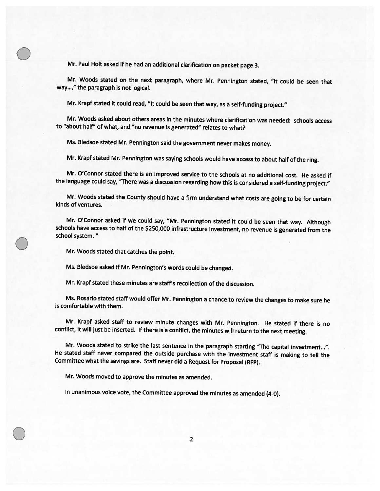Mr. Paul Holt asked if he had an additional clarification on packet page 3.

Mr. Woods stated on the next paragraph, where Mr. Pennington stated, "It could be seen that way...," the paragraph is not logical.

Mr. Krapf stated it could read, "It could be seen that way, as <sup>a</sup> self-funding project."

Mr. Woods asked about others areas in the minutes where clarification was needed: schools access to "about half" of what, and "no revenue is generated" relates to what?

Ms. Bledsoe stated Mr. Pennington said the government never makes money.

Mr. Krapf stated Mr. Pennington was saying schools would have access to about half of the ring.

Mr. O'Connor stated there is an improved service to the schools at no additional cost. He asked if the language could say, "There was <sup>a</sup> discussion regarding how this is considered <sup>a</sup> self-funding project."

Mr. Woods stated the County should have <sup>a</sup> firm understand what costs are going to be for certain kinds of ventures.

Mr. O'Connor asked if we could say, "Mr. Pennington stated it could be seen that way. Although schools have access to half of the \$250,000 infrastructure investment, no revenue is generated from the school system.

Mr. Woods stated that catches the point.

Ms. Bledsoe asked if Mr. Pennington's words could be changed.

Mr. Krapf stated these minutes are staff's recollection of the discussion.

Ms. Rosarlo stated staff would offer Mr. Pennington <sup>a</sup> chance to review the changes to make sure he is comfortable with them.

Mr. Krapf asked staff to review minute changes with Mr. Pennington. He stated if there is no conflict, it will just be inserted. If there is <sup>a</sup> conflict, the minutes will return to the next meeting.

Mr. Woods stated to strike the last sentence in the paragraph starting "The capital investment...". He stated staff never compared the outside purchase with the investment staff is making to tell the Committee what the savings are. Staff never did <sup>a</sup> Request for Proposal (RFP).

Mr. Woods moved to approve the minutes as amended.

In unanimous voice vote, the Committee approved the minutes as amended (4-0).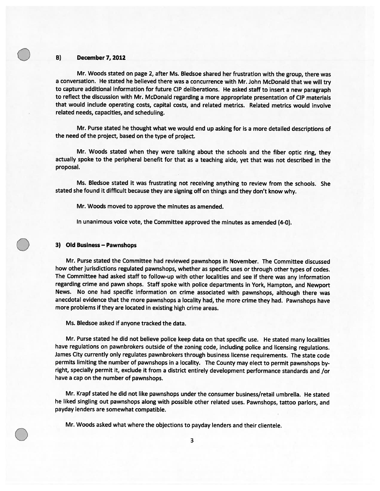### **B)** December 7, 2012

Mr. Woods stated on page 2, after Ms. Bledsoe shared her frustration with the group, there was <sup>a</sup> conversation. He stated he believed there was <sup>a</sup> concurrence with Mr. John McDonald that we will try to capture additional information for future CIP deliberations. He asked staff to insert <sup>a</sup> new paragrap<sup>h</sup> to reflect the discussion with Mr. McDonald regarding <sup>a</sup> more appropriate presentation of CIP materials that would include operating costs, capital costs, and related metrics. Related metrics would involve related needs, capacities, and scheduling.

Mr. Purse stated he thought what we would end up asking for is <sup>a</sup> more detailed descriptions of the need of the project, based on the type of project.

Mr. Woods stated when they were talking about the schools and the fiber optic ring, they actually spoke to the peripheral benefit for that as <sup>a</sup> teaching aide, ye<sup>t</sup> that was not described in the proposal.

Ms. Bledsoe stated it was frustrating not receiving anything to review from the schools. She stated she found it difficult because they are signing off on things and they don't know why.

Mr. Woods moved to approve the minutes as amended.

In unanimous voice vote, the Committee approved the minutes as amended (4-0).

### 3) Old Business — Pawnshops

Mr. Purse stated the Committee had reviewed pawnshops in November. The Committee discussed how other jurisdictions regulated pawnshops, whether as specific uses or through other types of codes. The Committee had asked staff to follow-up with other localities and see if there was any information regarding crime and pawn shops. Staff spoke with police departments in York, Hampton, and Newport News. No one had specific information on crime associated with pawnshops, although there was anecdotal evidence that the more pawnshops <sup>a</sup> locality had, the more crime they had. Pawnshops have more problems if they are located in existing high crime areas.

Ms. Bledsoe asked if anyone tracked the data.

Mr. Purse stated he did not believe police keep data on that specific use. He stated many localities have regulations on pawnbrokers outside of the zoning code, including police and licensing regulations. James City currently only regulates pawnbrokers through business license requirements. The state code permits limiting the number of pawnshops in <sup>a</sup> locality. The County may elect to permit pawnshops by right, specially permit it, exclude it from a district entirely development performance standards and /or have <sup>a</sup> cap on the number of pawnshops.

Mr. Krapf stated he did not like pawnshops under the consumer business/retail umbrella. He stated he liked singling out pawnshops along with possible other related uses. Pawnshops, tattoo parlors, and payday lenders are somewhat compatible.

Mr. Woods asked what where the objections to payday lenders and their clientele.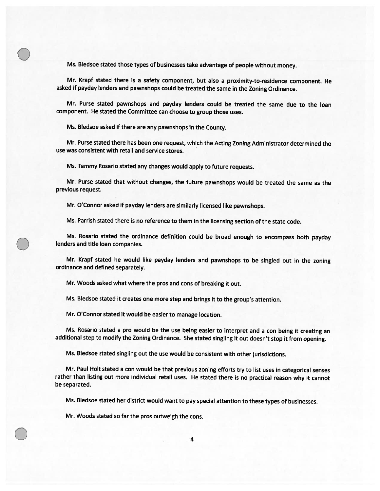Ms. Bledsoe stated those types of businesses take advantage of people without money.

Mr. Krapf stated there is <sup>a</sup> safety component, but also <sup>a</sup> proximity-to-residence component. He asked if payday lenders and pawnshops could be treated the same in the Zoning Ordinance.

Mr. Purse stated pawnshops and payday lenders could be treated the same due to the loan component. He stated the Committee can choose to group those uses.

Ms. Bledsoe asked if there are any pawnshops in the County.

 $\bigcirc$ 

Mr. Purse stated there has been one request, which the Acting Zoning Administrator determined the use was consistent with retail and service stores.

Ms. Tammy Rosario stated any changes would apply to future requests.

Mr. Purse stated that without changes, the future pawnshops would be treated the same as the previous request.

Mr. O'Connor asked if payday lenders are similarly licensed like pawnshops.

Ms. Parrish stated there is no reference to them in the licensing section of the state code.

Ms. Rosario stated the ordinance definition could be broad enough to encompass both payday lenders and title loan companies.

Mr. Krapf stated he would like payday lenders and pawnshops to be singled out in the zoning ordinance and defined separately.

Mr. Woods asked what where the pros and cons of breaking it out.

Ms. Bledsoe stated it creates one more step and brings it to the group's attention.

Mr. O'Connor stated it would be easier to manage location.

Ms. Rosarlo stated <sup>a</sup> pro would be the use being easier to interpret and <sup>a</sup> con being it creating an additional step to modify the Zoning Ordinance. She stated singling it out doesn't stop it from opening.

Ms. Bledsoe stated singling out the use would be consistent with other jurisdictions.

Mr. Paul Holt stated <sup>a</sup> con would be that previous zoning efforts try to list uses in categorical senses rather than listing out more individual retail uses. He stated there is no practical reason why it cannot be separated.

Ms. Bledsoe stated her district would want to pay special attention to these types of businesses.

Mr. Woods stated so far the pros outweigh the cons.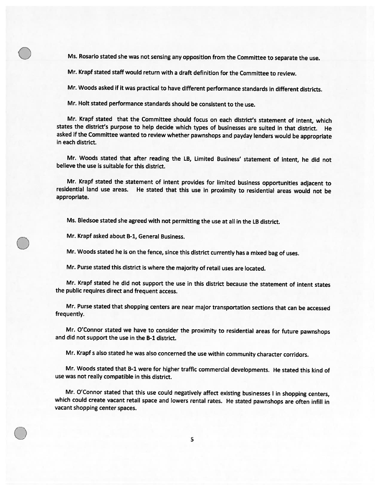Ms. Rosario stated she was not sensing any opposition from the Committee to separate the use.

Mr. Krapf stated staff would return with <sup>a</sup> draft definition for the Committee to review.

Mr. Woods asked if it was practical to have different performance standards in different districts.

Mr. Holt stated performance standards should be consistent to the use.

Mr. Krapf stated that the Committee should focus on each district's statement of intent, which states the district's purpose to help decide which types of businesses are suited in that district. He asked if the Committee wanted to review whether pawnshops and payday lenders would be appropriate in each district.

Mr. Woods stated that after reading the LB, Limited Business' statement of intent, he did not believe the use is suitable for this district.

Mr. Krapf stated the statement of intent provides for limited business opportunities adjacent to residential land use areas. He stated that this use in proximity to residential areas would not be appropriate.

Ms. Bledsoe stated she agreed with not permitting the use at all in the LB district.

Mr. Krapf asked about B-1, General Business.

 $\bigcirc$ 

Mr. Woods stated he is on the fence, since this district currently has <sup>a</sup> mixed bag of uses.

Mr. Purse stated this district is where the majority of retail uses are located.

Mr. Krapf stated he did not support the use in this district because the statement of intent states the public requires direct and frequent access.

Mr. Purse stated that shopping centers are near major transportation sections that can be accessed frequently.

Mr. O'Connor stated we have to consider the proximity to residential areas for future pawnshops and did not support the use in the B-1 district.

Mr. Krapf <sup>s</sup> also stated he was also concerned the use within community character corridors.

Mr. Woods stated that B-1 were for higher traffic commercial developments. He stated this kind of use was not really compatible in this district.

Mr. O'Connor stated that this use could negatively affect existing businesses <sup>I</sup> in shopping centers, which could create vacant retail space and lowers rental rates. He stated pawnshops are often infill in vacant shopping center spaces.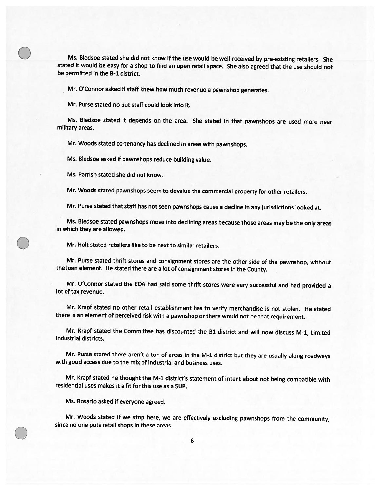Ms. Bledsoe stated she did not know if the use would be well received by pre-existing retailers. She stated it would be easy for <sup>a</sup> shop to find an open retail space. She also agreed that the use should not be permitted in the B-1 district.

Mr. O'Connor asked if staff knew how much revenue <sup>a</sup> pawnshop generates.

Mr. Purse stated no but staff could look into it.

Ms. Bledsoe stated it depends on the area. She stated in that pawnshops are used more near military areas.

Mr. Woods stated co-tenancy has declined in areas with pawnshops.

Ms. Bledsoe asked if pawnshops reduce building value.

Ms. Parrish stated she did not know.

Mr. Woods stated pawnshops seem to devalue the commercial property for other retailers.

Mr. Purse stated that staff has not seen pawnshops cause <sup>a</sup> decline in any jurisdictions looked at.

Ms. Bledsoe stated pawnshops move into declining areas because those areas may be the only areas in which they are allowed.

Mr. Holt stated retailers like to be next to similar retailers.

Mr. Purse stated thrift stores and consignment stores are the other side of the pawnshop, without the loan element. He stated there are <sup>a</sup> lot of consignment stores in the County.

Mr. O'Connor stated the EDA had said some thrift stores were very successful and had provided <sup>a</sup> lot of tax revenue.

Mr. Krapf stated no other retail establishment has to verify merchandise is not stolen. He stated there is an element of perceived risk with <sup>a</sup> pawnshop or there would not be that requirement.

Mr. Krapf stated the Committee has discounted the B1 district and will now discuss M-1, Limited Industrial districts.

Mr. Purse stated there aren't a ton of areas in the M-1 district but they are usually along roadways with good access due to the mix of industrial and business uses.

Mr. Krapf stated he thought the M-1 district's statement of intent about not being compatible with residential uses makes it <sup>a</sup> fit for this use as <sup>a</sup> SUP.

Ms. Rosario asked if everyone agreed.

Mr. Woods stated if we stop here, we are effectively excluding pawnshops from the community, since no one puts retail shops in these areas.<br>6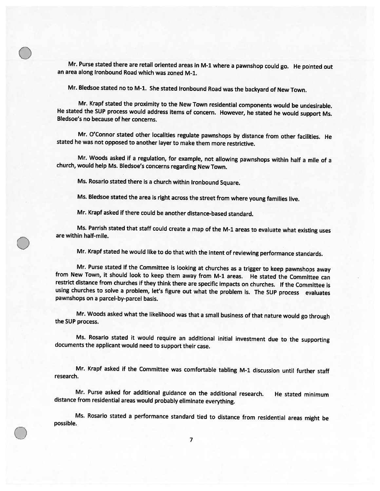Mr. Purse stated there are retail oriented areas in M-1 where <sup>a</sup> pawnshop could go. He pointed out an area along Ironbound Road which was zoned M-1.

Mr. Bledsoe stated no to M-1. She stated Ironbound Road was the backyard of New Town.

Mr. Krapf stated the proximity to the New Town residential components would be undesirable. He stated the SUP process would address items of concern. However, he stated he would support Ms. Bledsoe's no because of her concerns.

Mr. O'Connor stated other localities regulate pawnshops by distance from other facilities. He stated he was not opposed to another layer to make them more restrictive.

Mr. Woods asked if <sup>a</sup> regulation, for example, not allowing pawnshops within half <sup>a</sup> mile of <sup>a</sup> church, would help Ms. Bledsoe's concerns regarding New Town.

Ms. Rosario stated there is <sup>a</sup> church within Ironbound Square.

 $\bigcirc$ 

 $\bigcirc$ 

Ms. Bledsoe stated the area is right across the street from where young families live.

Mr. Krapf asked if there could be another distance-based standard.

Ms. Parrish stated that staff could create <sup>a</sup> map of the M-1 areas to evaluate what existing uses are within half-mile.

Mr. Krapf stated he would like to do that with the intent of reviewing performance standards.

Mr. Purse stated if the Committee is looking at churches as <sup>a</sup> trigger to keep pawnshops away from New Town, it should look to keep them away from M-1 areas. He stated the Committee can restrict distance from churches if they think there are specific impacts on churches. If the Committee is using churches to solve <sup>a</sup> problem, let's figure out what the problem is. The SUP process evaluates pawnshops on <sup>a</sup> parcel-by-parcel basis.

Mr. Woods asked what the likelihood was that <sup>a</sup> small business of that nature would go through the SUP process.

Ms. Rosario stated it would require an additional initial investment due to the supporting documents the applicant would need to support their case.

Mr. Krapf asked if the Committee was comfortable tabling M-1 discussion until further staff research.

Mr. Purse asked for additional guidance on the additional research. He stated minimum distance from residential areas would probably eliminate everything.

Ms. Rosario stated <sup>a</sup> performance standard tied to distance from residential areas might be possible.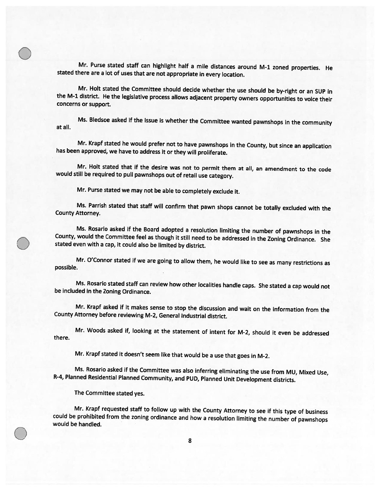Mr. Purse stated staff can highlight half <sup>a</sup> mile distances around M-1 zoned properties. He stated there are <sup>a</sup> lot of uses that are not appropriate in every location.

Mr. Holt stated the Committee should decide whether the use should be by-right or an SUP in the M-1 district. He the legislative process allows adjacent property owners opportunities to voice their concerns or support.

Ms. Bledsoe asked if the issue is whether the Committee wanted pawnshops in the community at all.

Mr. Krapf stated he would prefer not to have pawnshops in the County, but since an application has been approved, we have to address it or they will proliferate.

Mr. Holt stated that if the desire was not to permit them at all, an amendment to the code would still be required to pull pawnshops out of retail use category.

Mr. Purse stated we may not be able to completely exclude it.

Ms. Parrish stated that staff will confirm that pawn shops cannot be totally excluded with the County Attorney.

Ms. Rosario asked if the Board adopted a resolution limiting the number of pawnshops in the County, would the Committee feel as though it still need to be addressed in the Zoning Ordinance. She stated even with a cap, it c

Mr. O'Connor stated if we are going to allow them, he would like to see as many restrictions as possible.

Ms. Rosario stated staff can review how other localities handle caps. She stated <sup>a</sup> cap would not be included in the Zoning Ordinance.

Mr. Krapf asked if it makes sense to stop the discussion and wait on the information from the County Attorney before reviewing M-2, General Industrial district.

Mr. Woods asked if, looking at the statement of intent for M-2, should it even be addressed there.

Mr. Krapf stated it doesn't seem like that would be <sup>a</sup> use that goes in M-2.

Ms. Rosario asked if the Committee was also inferring eliminating the use from MU, Mixed Use, R-4, Planned Residential Planned Community, and PUD, Planned Unit Development districts.

The Committee stated yes.

 $\bigcirc$ 

Mr. Krapf requested staff to follow up with the County Attorney to see if this type of business could be prohibited from the zoning ordinance and how <sup>a</sup> resolution limiting the number of pawnshops would be handled.  $\circledcirc$